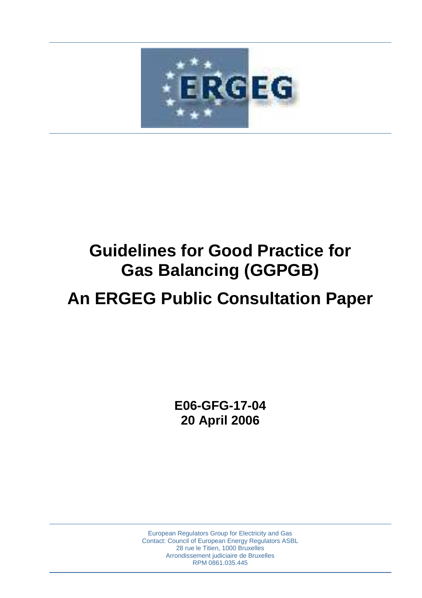

# **Guidelines for Good Practice for Gas Balancing (GGPGB)**

# **An ERGEG Public Consultation Paper**

**E06-GFG-17-04 20 April 2006** 

European Regulators Group for Electricity and Gas Contact: Council of European Energy Regulators ASBL 28 rue le Titien, 1000 Bruxelles Arrondissement judiciaire de Bruxelles RPM 0861.035.445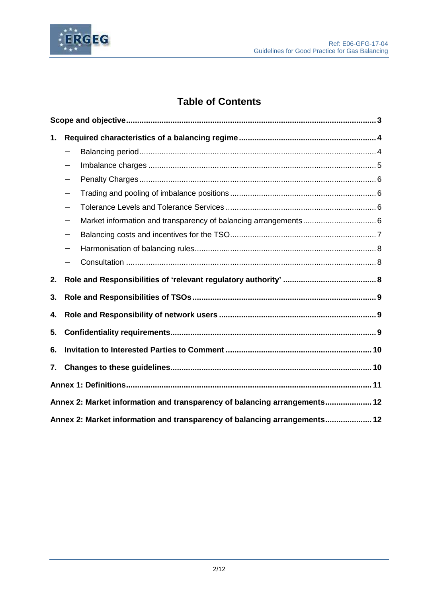

## **Table of Contents**

| 1. |                                                                           |  |  |  |
|----|---------------------------------------------------------------------------|--|--|--|
|    | $\qquad \qquad -$                                                         |  |  |  |
|    |                                                                           |  |  |  |
|    |                                                                           |  |  |  |
|    | $\qquad \qquad -$                                                         |  |  |  |
|    |                                                                           |  |  |  |
|    | $\overline{\phantom{0}}$                                                  |  |  |  |
|    | $\qquad \qquad -$                                                         |  |  |  |
|    |                                                                           |  |  |  |
|    |                                                                           |  |  |  |
| 2. |                                                                           |  |  |  |
| 3. |                                                                           |  |  |  |
| 4. |                                                                           |  |  |  |
| 5. |                                                                           |  |  |  |
| 6. |                                                                           |  |  |  |
| 7. |                                                                           |  |  |  |
|    |                                                                           |  |  |  |
|    | Annex 2: Market information and transparency of balancing arrangements 12 |  |  |  |
|    | Annex 2: Market information and transparency of balancing arrangements 12 |  |  |  |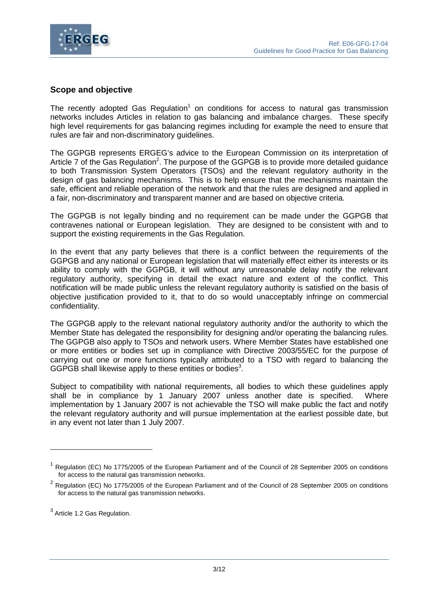

## **Scope and objective**

The recently adopted Gas Regulation<sup>1</sup> on conditions for access to natural gas transmission networks includes Articles in relation to gas balancing and imbalance charges. These specify high level requirements for gas balancing regimes including for example the need to ensure that rules are fair and non-discriminatory guidelines.

The GGPGB represents ERGEG's advice to the European Commission on its interpretation of Article 7 of the Gas Regulation<sup>2</sup>. The purpose of the GGPGB is to provide more detailed guidance to both Transmission System Operators (TSOs) and the relevant regulatory authority in the design of gas balancing mechanisms. This is to help ensure that the mechanisms maintain the safe, efficient and reliable operation of the network and that the rules are designed and applied in a fair, non-discriminatory and transparent manner and are based on objective criteria.

The GGPGB is not legally binding and no requirement can be made under the GGPGB that contravenes national or European legislation. They are designed to be consistent with and to support the existing requirements in the Gas Regulation.

In the event that any party believes that there is a conflict between the requirements of the GGPGB and any national or European legislation that will materially effect either its interests or its ability to comply with the GGPGB, it will without any unreasonable delay notify the relevant regulatory authority, specifying in detail the exact nature and extent of the conflict. This notification will be made public unless the relevant regulatory authority is satisfied on the basis of objective justification provided to it, that to do so would unacceptably infringe on commercial confidentiality.

The GGPGB apply to the relevant national regulatory authority and/or the authority to which the Member State has delegated the responsibility for designing and/or operating the balancing rules. The GGPGB also apply to TSOs and network users. Where Member States have established one or more entities or bodies set up in compliance with Directive 2003/55/EC for the purpose of carrying out one or more functions typically attributed to a TSO with regard to balancing the GGPGB shall likewise apply to these entities or bodies<sup>3</sup>.

Subject to compatibility with national requirements, all bodies to which these guidelines apply shall be in compliance by 1 January 2007 unless another date is specified. Where implementation by 1 January 2007 is not achievable the TSO will make public the fact and notify the relevant regulatory authority and will pursue implementation at the earliest possible date, but in any event not later than 1 July 2007.

<sup>1</sup> Regulation (EC) No 1775/2005 of the European Parliament and of the Council of 28 September 2005 on conditions for access to the natural gas transmission networks.

 $2$  Regulation (EC) No 1775/2005 of the European Parliament and of the Council of 28 September 2005 on conditions for access to the natural gas transmission networks.

 $^3$  Article 1.2 Gas Regulation.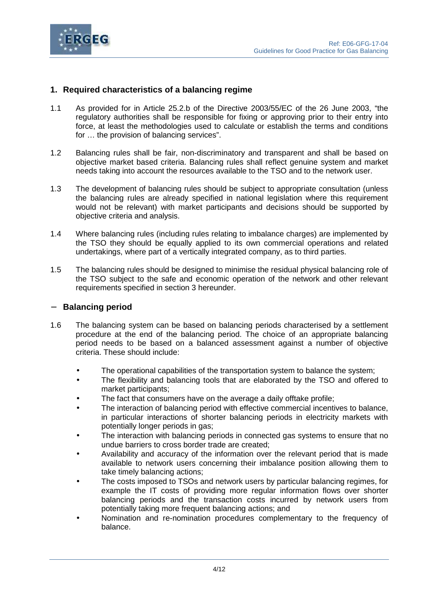

## **1. Required characteristics of a balancing regime**

- 1.1 As provided for in Article 25.2.b of the Directive 2003/55/EC of the 26 June 2003, "the regulatory authorities shall be responsible for fixing or approving prior to their entry into force, at least the methodologies used to calculate or establish the terms and conditions for … the provision of balancing services".
- 1.2 Balancing rules shall be fair, non-discriminatory and transparent and shall be based on objective market based criteria. Balancing rules shall reflect genuine system and market needs taking into account the resources available to the TSO and to the network user.
- 1.3 The development of balancing rules should be subject to appropriate consultation (unless the balancing rules are already specified in national legislation where this requirement would not be relevant) with market participants and decisions should be supported by objective criteria and analysis.
- 1.4 Where balancing rules (including rules relating to imbalance charges) are implemented by the TSO they should be equally applied to its own commercial operations and related undertakings, where part of a vertically integrated company, as to third parties.
- 1.5 The balancing rules should be designed to minimise the residual physical balancing role of the TSO subject to the safe and economic operation of the network and other relevant requirements specified in section 3 hereunder.

#### − **Balancing period**

- 1.6 The balancing system can be based on balancing periods characterised by a settlement procedure at the end of the balancing period. The choice of an appropriate balancing period needs to be based on a balanced assessment against a number of objective criteria. These should include:
	- The operational capabilities of the transportation system to balance the system;
	- The flexibility and balancing tools that are elaborated by the TSO and offered to market participants;
	- The fact that consumers have on the average a daily offtake profile;
	- The interaction of balancing period with effective commercial incentives to balance, in particular interactions of shorter balancing periods in electricity markets with potentially longer periods in gas;
	- The interaction with balancing periods in connected gas systems to ensure that no undue barriers to cross border trade are created;
	- Availability and accuracy of the information over the relevant period that is made available to network users concerning their imbalance position allowing them to take timely balancing actions;
	- The costs imposed to TSOs and network users by particular balancing regimes, for example the IT costs of providing more regular information flows over shorter balancing periods and the transaction costs incurred by network users from potentially taking more frequent balancing actions; and
	- Nomination and re-nomination procedures complementary to the frequency of balance.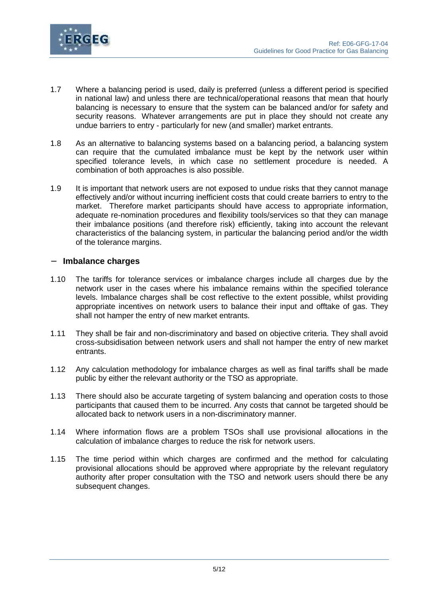



- 1.7 Where a balancing period is used, daily is preferred (unless a different period is specified in national law) and unless there are technical/operational reasons that mean that hourly balancing is necessary to ensure that the system can be balanced and/or for safety and security reasons. Whatever arrangements are put in place they should not create any undue barriers to entry - particularly for new (and smaller) market entrants.
- 1.8 As an alternative to balancing systems based on a balancing period, a balancing system can require that the cumulated imbalance must be kept by the network user within specified tolerance levels, in which case no settlement procedure is needed. A combination of both approaches is also possible.
- 1.9 It is important that network users are not exposed to undue risks that they cannot manage effectively and/or without incurring inefficient costs that could create barriers to entry to the market. Therefore market participants should have access to appropriate information, adequate re-nomination procedures and flexibility tools/services so that they can manage their imbalance positions (and therefore risk) efficiently, taking into account the relevant characteristics of the balancing system, in particular the balancing period and/or the width of the tolerance margins.

#### − **Imbalance charges**

- 1.10 The tariffs for tolerance services or imbalance charges include all charges due by the network user in the cases where his imbalance remains within the specified tolerance levels. Imbalance charges shall be cost reflective to the extent possible, whilst providing appropriate incentives on network users to balance their input and offtake of gas. They shall not hamper the entry of new market entrants.
- 1.11 They shall be fair and non-discriminatory and based on objective criteria. They shall avoid cross-subsidisation between network users and shall not hamper the entry of new market entrants.
- 1.12 Any calculation methodology for imbalance charges as well as final tariffs shall be made public by either the relevant authority or the TSO as appropriate.
- 1.13 There should also be accurate targeting of system balancing and operation costs to those participants that caused them to be incurred. Any costs that cannot be targeted should be allocated back to network users in a non-discriminatory manner.
- 1.14 Where information flows are a problem TSOs shall use provisional allocations in the calculation of imbalance charges to reduce the risk for network users.
- 1.15 The time period within which charges are confirmed and the method for calculating provisional allocations should be approved where appropriate by the relevant regulatory authority after proper consultation with the TSO and network users should there be any subsequent changes.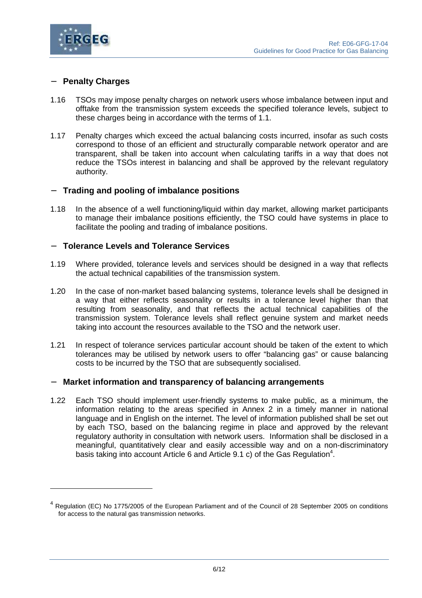

#### − **Penalty Charges**

- 1.16 TSOs may impose penalty charges on network users whose imbalance between input and offtake from the transmission system exceeds the specified tolerance levels, subject to these charges being in accordance with the terms of 1.1.
- 1.17 Penalty charges which exceed the actual balancing costs incurred, insofar as such costs correspond to those of an efficient and structurally comparable network operator and are transparent, shall be taken into account when calculating tariffs in a way that does not reduce the TSOs interest in balancing and shall be approved by the relevant regulatory authority.

#### − **Trading and pooling of imbalance positions**

1.18 In the absence of a well functioning/liquid within day market, allowing market participants to manage their imbalance positions efficiently, the TSO could have systems in place to facilitate the pooling and trading of imbalance positions.

#### − **Tolerance Levels and Tolerance Services**

- 1.19 Where provided, tolerance levels and services should be designed in a way that reflects the actual technical capabilities of the transmission system.
- 1.20 In the case of non-market based balancing systems, tolerance levels shall be designed in a way that either reflects seasonality or results in a tolerance level higher than that resulting from seasonality, and that reflects the actual technical capabilities of the transmission system. Tolerance levels shall reflect genuine system and market needs taking into account the resources available to the TSO and the network user.
- 1.21 In respect of tolerance services particular account should be taken of the extent to which tolerances may be utilised by network users to offer "balancing gas" or cause balancing costs to be incurred by the TSO that are subsequently socialised.

#### − **Market information and transparency of balancing arrangements**

1.22 Each TSO should implement user-friendly systems to make public, as a minimum, the information relating to the areas specified in Annex 2 in a timely manner in national language and in English on the internet. The level of information published shall be set out by each TSO, based on the balancing regime in place and approved by the relevant regulatory authority in consultation with network users. Information shall be disclosed in a meaningful, quantitatively clear and easily accessible way and on a non-discriminatory basis taking into account Article 6 and Article 9.1 c) of the Gas Regulation<sup>4</sup>.

<sup>&</sup>lt;sup>4</sup> Regulation (EC) No 1775/2005 of the European Parliament and of the Council of 28 September 2005 on conditions for access to the natural gas transmission networks.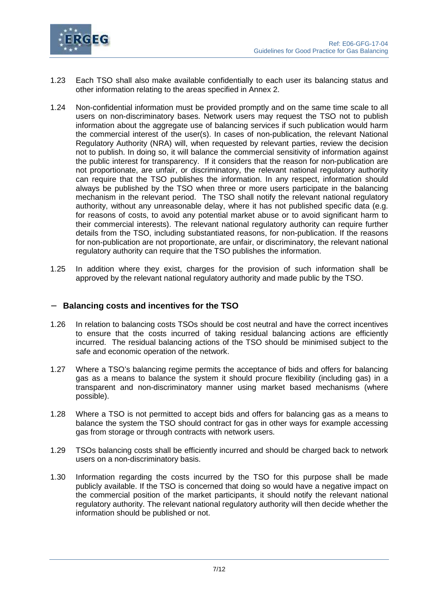

- 1.23 Each TSO shall also make available confidentially to each user its balancing status and other information relating to the areas specified in Annex 2.
- 1.24 Non-confidential information must be provided promptly and on the same time scale to all users on non-discriminatory bases. Network users may request the TSO not to publish information about the aggregate use of balancing services if such publication would harm the commercial interest of the user(s). In cases of non-publication, the relevant National Regulatory Authority (NRA) will, when requested by relevant parties, review the decision not to publish. In doing so, it will balance the commercial sensitivity of information against the public interest for transparency. If it considers that the reason for non-publication are not proportionate, are unfair, or discriminatory, the relevant national regulatory authority can require that the TSO publishes the information. In any respect, information should always be published by the TSO when three or more users participate in the balancing mechanism in the relevant period. The TSO shall notify the relevant national regulatory authority, without any unreasonable delay, where it has not published specific data (e.g. for reasons of costs, to avoid any potential market abuse or to avoid significant harm to their commercial interests). The relevant national regulatory authority can require further details from the TSO, including substantiated reasons, for non-publication. If the reasons for non-publication are not proportionate, are unfair, or discriminatory, the relevant national regulatory authority can require that the TSO publishes the information.
- 1.25 In addition where they exist, charges for the provision of such information shall be approved by the relevant national regulatory authority and made public by the TSO.

#### − **Balancing costs and incentives for the TSO**

- 1.26 In relation to balancing costs TSOs should be cost neutral and have the correct incentives to ensure that the costs incurred of taking residual balancing actions are efficiently incurred. The residual balancing actions of the TSO should be minimised subject to the safe and economic operation of the network.
- 1.27 Where a TSO's balancing regime permits the acceptance of bids and offers for balancing gas as a means to balance the system it should procure flexibility (including gas) in a transparent and non-discriminatory manner using market based mechanisms (where possible).
- 1.28 Where a TSO is not permitted to accept bids and offers for balancing gas as a means to balance the system the TSO should contract for gas in other ways for example accessing gas from storage or through contracts with network users.
- 1.29 TSOs balancing costs shall be efficiently incurred and should be charged back to network users on a non-discriminatory basis.
- 1.30 Information regarding the costs incurred by the TSO for this purpose shall be made publicly available. If the TSO is concerned that doing so would have a negative impact on the commercial position of the market participants, it should notify the relevant national regulatory authority. The relevant national regulatory authority will then decide whether the information should be published or not.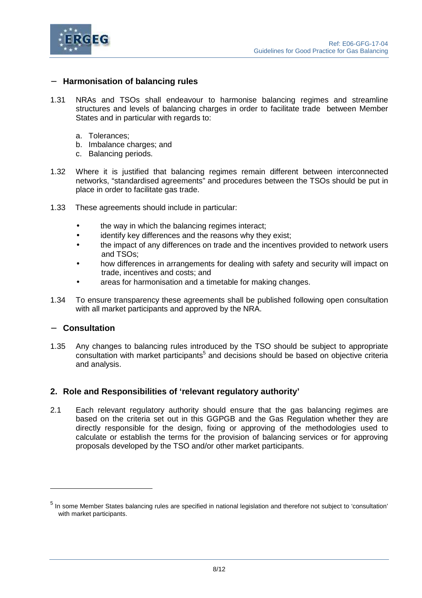

#### − **Harmonisation of balancing rules**

- 1.31 NRAs and TSOs shall endeavour to harmonise balancing regimes and streamline structures and levels of balancing charges in order to facilitate trade between Member States and in particular with regards to:
	- a. Tolerances;
	- b. Imbalance charges; and
	- c. Balancing periods.
- 1.32 Where it is justified that balancing regimes remain different between interconnected networks, "standardised agreements" and procedures between the TSOs should be put in place in order to facilitate gas trade.
- 1.33 These agreements should include in particular:
	- the way in which the balancing regimes interact;
	- identify key differences and the reasons why they exist;
	- the impact of any differences on trade and the incentives provided to network users and TSOs;
	- how differences in arrangements for dealing with safety and security will impact on trade, incentives and costs; and
	- areas for harmonisation and a timetable for making changes.
- 1.34 To ensure transparency these agreements shall be published following open consultation with all market participants and approved by the NRA.

#### − **Consultation**

1.35 Any changes to balancing rules introduced by the TSO should be subject to appropriate consultation with market participants<sup>5</sup> and decisions should be based on objective criteria and analysis.

### **2. Role and Responsibilities of 'relevant regulatory authority'**

2.1 Each relevant regulatory authority should ensure that the gas balancing regimes are based on the criteria set out in this GGPGB and the Gas Regulation whether they are directly responsible for the design, fixing or approving of the methodologies used to calculate or establish the terms for the provision of balancing services or for approving proposals developed by the TSO and/or other market participants.

<sup>&</sup>lt;sup>5</sup> In some Member States balancing rules are specified in national legislation and therefore not subject to 'consultation' with market participants.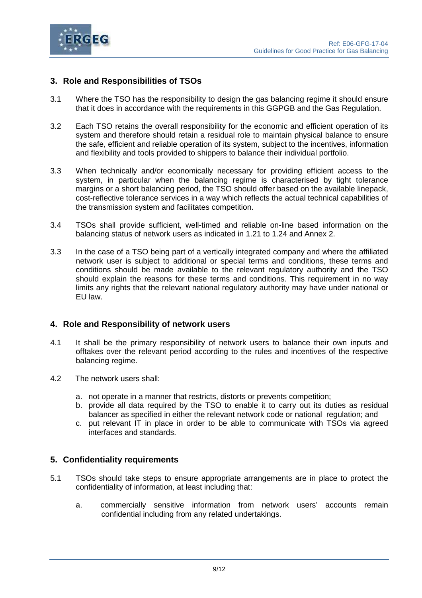

## **3. Role and Responsibilities of TSOs**

- 3.1 Where the TSO has the responsibility to design the gas balancing regime it should ensure that it does in accordance with the requirements in this GGPGB and the Gas Regulation.
- 3.2 Each TSO retains the overall responsibility for the economic and efficient operation of its system and therefore should retain a residual role to maintain physical balance to ensure the safe, efficient and reliable operation of its system, subject to the incentives, information and flexibility and tools provided to shippers to balance their individual portfolio.
- 3.3 When technically and/or economically necessary for providing efficient access to the system, in particular when the balancing regime is characterised by tight tolerance margins or a short balancing period, the TSO should offer based on the available linepack, cost-reflective tolerance services in a way which reflects the actual technical capabilities of the transmission system and facilitates competition.
- 3.4 TSOs shall provide sufficient, well-timed and reliable on-line based information on the balancing status of network users as indicated in 1.21 to 1.24 and Annex 2.
- 3.3 In the case of a TSO being part of a vertically integrated company and where the affiliated network user is subject to additional or special terms and conditions, these terms and conditions should be made available to the relevant regulatory authority and the TSO should explain the reasons for these terms and conditions. This requirement in no way limits any rights that the relevant national regulatory authority may have under national or EU law.

#### **4. Role and Responsibility of network users**

- 4.1 It shall be the primary responsibility of network users to balance their own inputs and offtakes over the relevant period according to the rules and incentives of the respective balancing regime.
- 4.2 The network users shall:
	- a. not operate in a manner that restricts, distorts or prevents competition;
	- b. provide all data required by the TSO to enable it to carry out its duties as residual balancer as specified in either the relevant network code or national regulation; and
	- c. put relevant IT in place in order to be able to communicate with TSOs via agreed interfaces and standards.

#### **5. Confidentiality requirements**

- 5.1 TSOs should take steps to ensure appropriate arrangements are in place to protect the confidentiality of information, at least including that:
	- a. commercially sensitive information from network users' accounts remain confidential including from any related undertakings.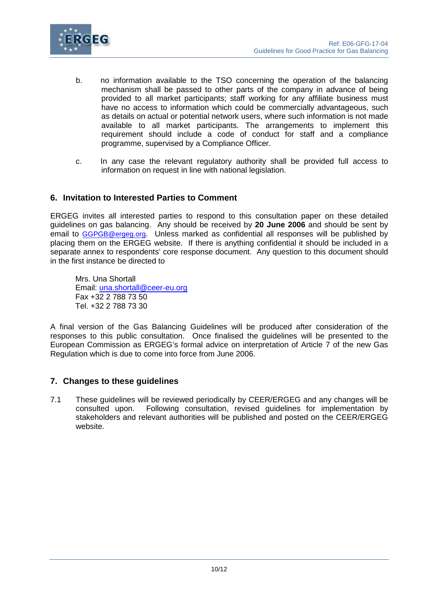

- b. no information available to the TSO concerning the operation of the balancing mechanism shall be passed to other parts of the company in advance of being provided to all market participants; staff working for any affiliate business must have no access to information which could be commercially advantageous, such as details on actual or potential network users, where such information is not made available to all market participants. The arrangements to implement this requirement should include a code of conduct for staff and a compliance programme, supervised by a Compliance Officer.
- c. In any case the relevant regulatory authority shall be provided full access to information on request in line with national legislation.

## **6. Invitation to Interested Parties to Comment**

ERGEG invites all interested parties to respond to this consultation paper on these detailed guidelines on gas balancing. Any should be received by **20 June 2006** and should be sent by email to GGPGB@ergeg.org. Unless marked as confidential all responses will be published by placing them on the ERGEG website. If there is anything confidential it should be included in a separate annex to respondents' core response document. Any question to this document should in the first instance be directed to

Mrs. Una Shortall Email: una.shortall@ceer-eu.org Fax +32 2 788 73 50 Tel. +32 2 788 73 30

A final version of the Gas Balancing Guidelines will be produced after consideration of the responses to this public consultation. Once finalised the guidelines will be presented to the European Commission as ERGEG's formal advice on interpretation of Article 7 of the new Gas Regulation which is due to come into force from June 2006.

### **7. Changes to these guidelines**

7.1 These guidelines will be reviewed periodically by CEER/ERGEG and any changes will be consulted upon. Following consultation, revised guidelines for implementation by stakeholders and relevant authorities will be published and posted on the CEER/ERGEG website.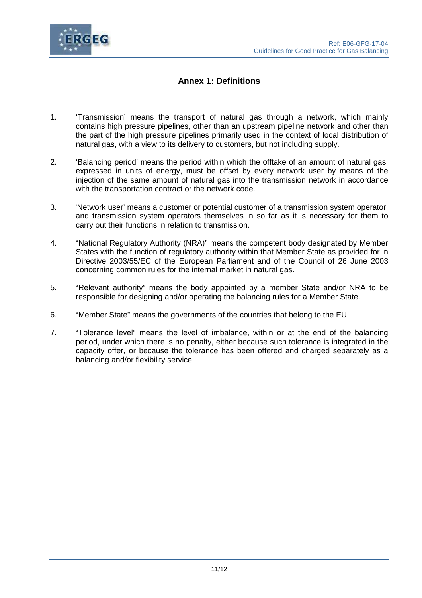

## **Annex 1: Definitions**

- 1. 'Transmission' means the transport of natural gas through a network, which mainly contains high pressure pipelines, other than an upstream pipeline network and other than the part of the high pressure pipelines primarily used in the context of local distribution of natural gas, with a view to its delivery to customers, but not including supply.
- 2. 'Balancing period' means the period within which the offtake of an amount of natural gas, expressed in units of energy, must be offset by every network user by means of the injection of the same amount of natural gas into the transmission network in accordance with the transportation contract or the network code.
- 3. 'Network user' means a customer or potential customer of a transmission system operator, and transmission system operators themselves in so far as it is necessary for them to carry out their functions in relation to transmission.
- 4. "National Regulatory Authority (NRA)" means the competent body designated by Member States with the function of regulatory authority within that Member State as provided for in Directive 2003/55/EC of the European Parliament and of the Council of 26 June 2003 concerning common rules for the internal market in natural gas.
- 5. "Relevant authority" means the body appointed by a member State and/or NRA to be responsible for designing and/or operating the balancing rules for a Member State.
- 6. "Member State" means the governments of the countries that belong to the EU.
- 7. "Tolerance level" means the level of imbalance, within or at the end of the balancing period, under which there is no penalty, either because such tolerance is integrated in the capacity offer, or because the tolerance has been offered and charged separately as a balancing and/or flexibility service.